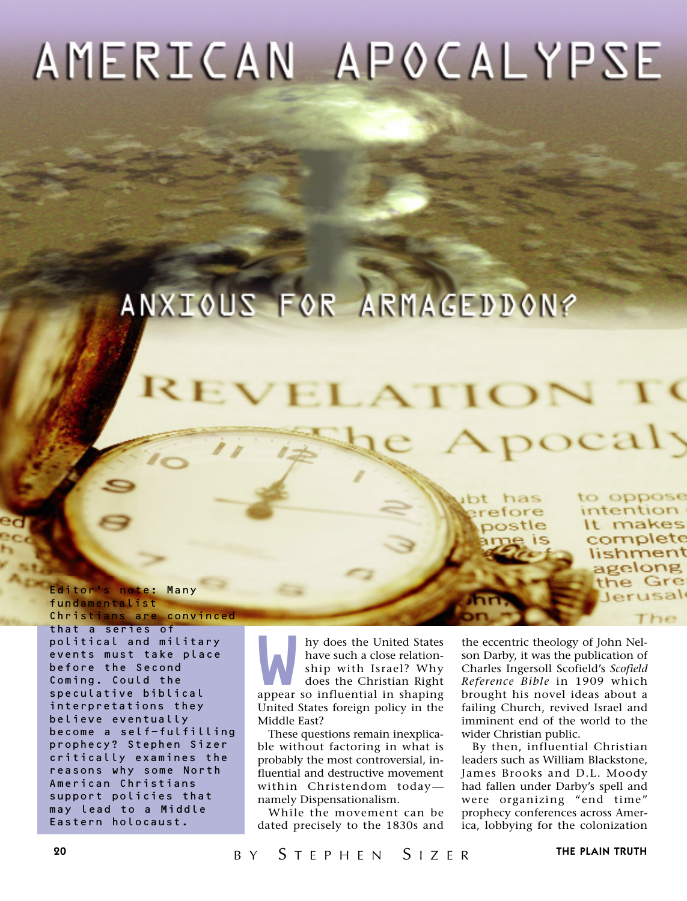# AMERICAN APOCALYPSE

## ANXIOUS FOR ARMAGEDDON?

has efore ostle to oppose intention It makes complete lishment agelong the Gre Jerusal

The

ocaly

fundamentalist Christians are convinced that a series of political and military events must take place before the Second

Editor's note: Many

Coming. Could the speculative biblical interpretations they believe eventually become a self-fulfilling prophecy? Stephen Sizer critically examines the reasons why some North American Christians support policies that may lead to a Middle Eastern holocaust.

My does the United States<br>
have such a close relation-<br>
ship with Israel? Why<br>
does the Christian Right<br>
appear so influential in shaping have such a close relationship with Israel? Why does the Christian Right United States foreign policy in the Middle East?

These questions remain inexplicable without factoring in what is probably the most controversial, influential and destructive movement within Christendom today namely Dispensationalism.

While the movement can be dated precisely to the 1830s and

the eccentric theology of John Nelson Darby, it was the publication of Charles Ingersoll Scofield's *Scofield Reference Bible* in 1909 which brought his novel ideas about a failing Church, revived Israel and imminent end of the world to the wider Christian public.

By then, influential Christian leaders such as William Blackstone, James Brooks and D.L. Moody had fallen under Darby's spell and were organizing "end time" prophecy conferences across America, lobbying for the colonization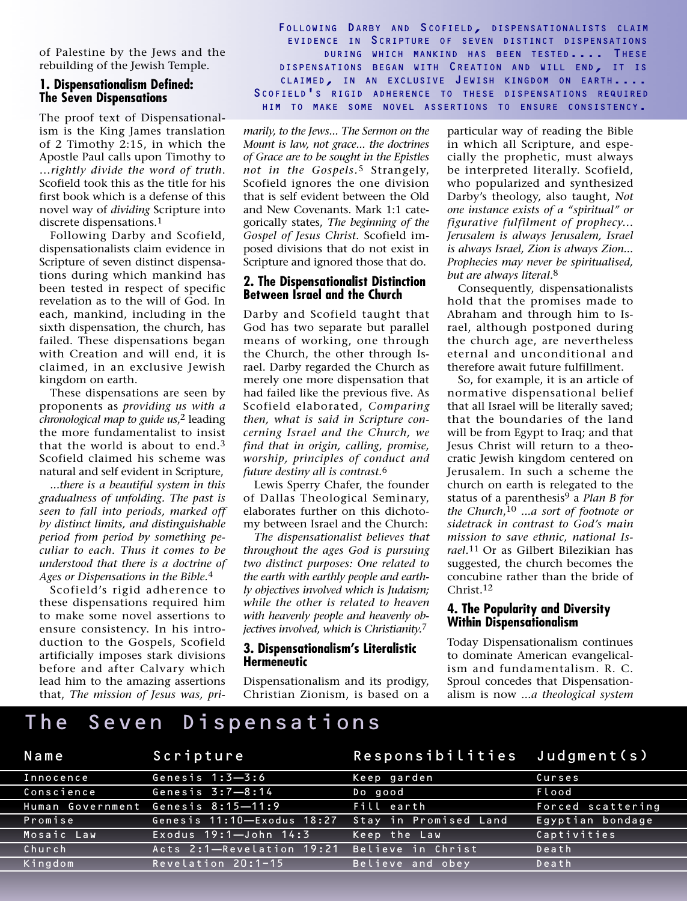of Palestine by the Jews and the rebuilding of the Jewish Temple.

## **1. Dispensationalism Defined: The Seven Dispensations**

The proof text of Dispensationalism is the King James translation of 2 Timothy 2:15, in which the Apostle Paul calls upon Timothy to …*rightly divide the word of truth*. Scofield took this as the title for his first book which is a defense of this novel way of *dividing* Scripture into discrete dispensations.1

Following Darby and Scofield, dispensationalists claim evidence in Scripture of seven distinct dispensations during which mankind has been tested in respect of specific revelation as to the will of God. In each, mankind, including in the sixth dispensation, the church, has failed. These dispensations began with Creation and will end, it is claimed, in an exclusive Jewish kingdom on earth.

These dispensations are seen by proponents as *providing us with a chronological map to guide us*,2 leading the more fundamentalist to insist that the world is about to end.3 Scofield claimed his scheme was natural and self evident in Scripture,

*...there is a beautiful system in this gradualness of unfolding. The past is seen to fall into periods, marked off by distinct limits, and distinguishable period from period by something peculiar to each. Thus it comes to be understood that there is a doctrine of Ages or Dispensations in the Bible.*4

Scofield's rigid adherence to these dispensations required him to make some novel assertions to ensure consistency. In his introduction to the Gospels, Scofield artificially imposes stark divisions before and after Calvary which lead him to the amazing assertions that, *The mission of Jesus was, pri-*

FOLLOWING DARBY AND SCOFIELD, DISPENSATIONALISTS CLAIM EVIDENCE IN SCRIPTURE OF SEVEN DISTINCT DISPENSATIONS DURING WHICH MANKIND HAS BEEN TESTED.... THESE DISPENSATIONS BEGAN WITH CREATION AND WILL END, IT IS CLAIMED, IN AN EXCLUSIVE JEWISH KINGDOM ON EARTH.... SCOFIELD'S RIGID ADHERENCE TO THESE DISPENSATIONS REQUIRED HIM TO MAKE SOME NOVEL ASSERTIONS TO ENSURE CONSISTENCY.

*marily, to the Jews... The Sermon on the Mount is law, not grace... the doctrines of Grace are to be sought in the Epistles not in the Gospels.*5 Strangely, Scofield ignores the one division that is self evident between the Old and New Covenants. Mark 1:1 categorically states, *The beginning of the Gospel of Jesus Christ.* Scofield imposed divisions that do not exist in Scripture and ignored those that do.

#### **2. The Dispensationalist Distinction Between Israel and the Church**

Darby and Scofield taught that God has two separate but parallel means of working, one through the Church, the other through Israel. Darby regarded the Church as merely one more dispensation that had failed like the previous five. As Scofield elaborated, *Comparing then, what is said in Scripture concerning Israel and the Church, we find that in origin, calling, promise, worship, principles of conduct and future destiny all is contrast.*6

Lewis Sperry Chafer, the founder of Dallas Theological Seminary, elaborates further on this dichotomy between Israel and the Church:

*The dispensationalist believes that throughout the ages God is pursuing two distinct purposes: One related to the earth with earthly people and earthly objectives involved which is Judaism; while the other is related to heaven with heavenly people and heavenly objectives involved, which is Christianity.*7

## **3. Dispensationalism's Literalistic Hermeneutic**

Dispensationalism and its prodigy, Christian Zionism, is based on a

particular way of reading the Bible in which all Scripture, and especially the prophetic, must always be interpreted literally. Scofield, who popularized and synthesized Darby's theology, also taught, *Not one instance exists of a "spiritual" or figurative fulfilment of prophecy... Jerusalem is always Jerusalem, Israel is always Israel, Zion is always Zion... Prophecies may never be spiritualised, but are always literal.*8

Consequently, dispensationalists hold that the promises made to Abraham and through him to Israel, although postponed during the church age, are nevertheless eternal and unconditional and therefore await future fulfillment.

So, for example, it is an article of normative dispensational belief that all Israel will be literally saved; that the boundaries of the land will be from Egypt to Iraq; and that Jesus Christ will return to a theocratic Jewish kingdom centered on Jerusalem. In such a scheme the church on earth is relegated to the status of a parenthesis9 a *Plan B for the Church*,10 *...a sort of footnote or sidetrack in contrast to God's main mission to save ethnic, national Israel.*11 Or as Gilbert Bilezikian has suggested, the church becomes the concubine rather than the bride of Christ.12

## **4. The Popularity and Diversity Within Dispensationalism**

Today Dispensationalism continues to dominate American evangelicalism and fundamentalism. R. C. Sproul concedes that Dispensationalism is now *...a theological system*

## The Seven Dispensations

| Name       | Scripture                                   | Responsibilities Judgment(s) |                   |
|------------|---------------------------------------------|------------------------------|-------------------|
| Innocence  | Genesis $1:3-3:6$                           | Keep garden                  | Curses            |
| Conscience | Genesis $3:7-8:14$                          | Do good                      | Flood             |
|            | Human Government Genesis 8:15-11:9          | Fill earth                   | Forced scattering |
| Promise    | Genesis 11:10-Exodus 18:27                  | Stay in Promised Land        | Egyptian bondage  |
| Mosaic Law | Exodus $19:1 -$ John $14:3$                 | Keep the Law                 | Captivities       |
| Church     | Acts 2:1-Revelation 19:21 Believe in Christ |                              | Death             |
| Kingdom    | Revelation $20:1-15$                        | Believe and obey             | Death             |
|            |                                             |                              |                   |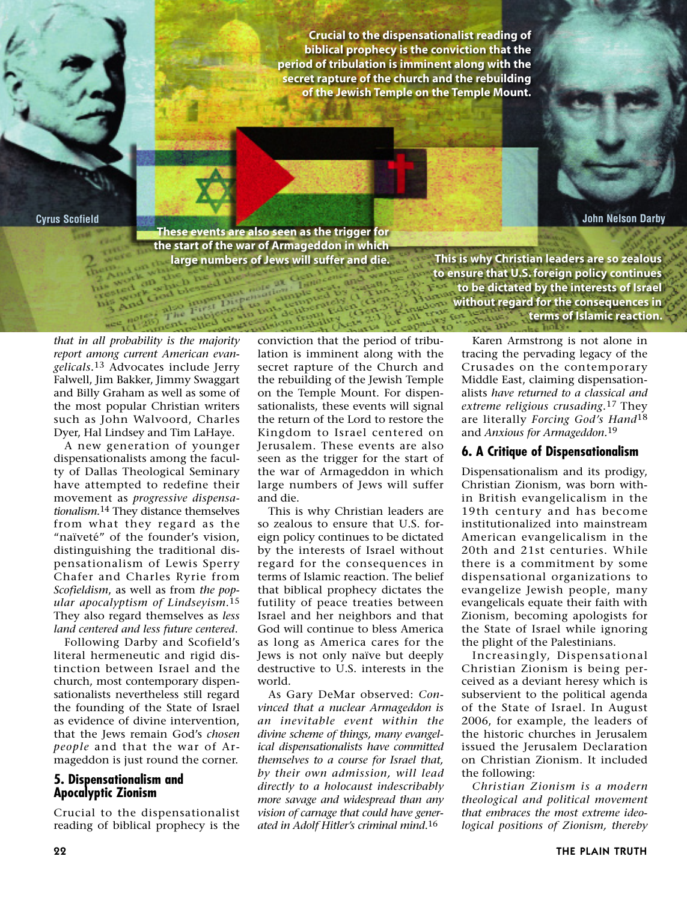**Crucial to the dispensationalist reading of biblical prophecy is the conviction that the period of tribulation is imminent along with the secret rapture of the church and the rebuilding of the Jewish Temple on the Temple Mount.**

**Cyrus Scofield John Nelson Darby**

**These events are also seen as the trigger for the start of the war of Armageddon in which**

**large numbers of Jews will suffer and die. This is why Christian leaders are so zealous to ensure that U.S. foreign policy continues to be dictated by the interests of Israel without regard for the consequences in terms of Islamic reaction.** 

*that in all probability is the majority report among current American evangelicals.*13 Advocates include Jerry Falwell, Jim Bakker, Jimmy Swaggart and Billy Graham as well as some of the most popular Christian writers such as John Walvoord, Charles Dyer, Hal Lindsey and Tim LaHaye.

A new generation of younger dispensationalists among the faculty of Dallas Theological Seminary have attempted to redefine their movement as *progressive dispensationalism.*14 They distance themselves from what they regard as the "naïveté" of the founder's vision, distinguishing the traditional dispensationalism of Lewis Sperry Chafer and Charles Ryrie from *Scofieldism*, as well as from *the popular apocalyptism of Lindseyism*.15 They also regard themselves as *less land centered and less future centered*.

Following Darby and Scofield's literal hermeneutic and rigid distinction between Israel and the church, most contemporary dispensationalists nevertheless still regard the founding of the State of Israel as evidence of divine intervention, that the Jews remain God's *chosen people* and that the war of Armageddon is just round the corner.

## **5. Dispensationalism and Apocalyptic Zionism**

Crucial to the dispensationalist reading of biblical prophecy is the

conviction that the period of tribulation is imminent along with the secret rapture of the Church and the rebuilding of the Jewish Temple on the Temple Mount. For dispensationalists, these events will signal the return of the Lord to restore the Kingdom to Israel centered on Jerusalem. These events are also seen as the trigger for the start of the war of Armageddon in which large numbers of Jews will suffer and die.

This is why Christian leaders are so zealous to ensure that U.S. foreign policy continues to be dictated by the interests of Israel without regard for the consequences in terms of Islamic reaction. The belief that biblical prophecy dictates the futility of peace treaties between Israel and her neighbors and that God will continue to bless America as long as America cares for the Jews is not only naïve but deeply destructive to U.S. interests in the world.

As Gary DeMar observed: *Convinced that a nuclear Armageddon is an inevitable event within the divine scheme of things, many evangelical dispensationalists have committed themselves to a course for Israel that, by their own admission, will lead directly to a holocaust indescribably more savage and widespread than any vision of carnage that could have generated in Adolf Hitler's criminal mind.*16

Karen Armstrong is not alone in tracing the pervading legacy of the Crusades on the contemporary Middle East, claiming dispensationalists *have returned to a classical and extreme religious crusading*.17 They are literally *Forcing God's Hand*18 and *Anxious for Armageddon.*19

## **6. A Critique of Dispensationalism**

Dispensationalism and its prodigy, Christian Zionism, was born within British evangelicalism in the 19th century and has become institutionalized into mainstream American evangelicalism in the 20th and 21st centuries. While there is a commitment by some dispensational organizations to evangelize Jewish people, many evangelicals equate their faith with Zionism, becoming apologists for the State of Israel while ignoring the plight of the Palestinians.

Increasingly, Dispensational Christian Zionism is being perceived as a deviant heresy which is subservient to the political agenda of the State of Israel. In August 2006, for example, the leaders of the historic churches in Jerusalem issued the Jerusalem Declaration on Christian Zionism. It included the following:

*Christian Zionism is a modern theological and political movement that embraces the most extreme ideological positions of Zionism, thereby*